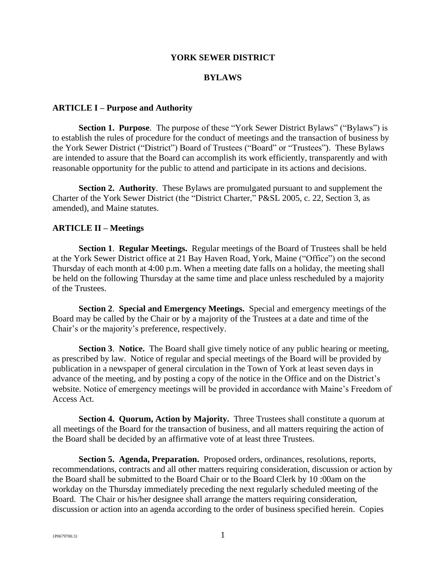#### **YORK SEWER DISTRICT**

#### **BYLAWS**

### **ARTICLE I – Purpose and Authority**

**Section 1. Purpose.** The purpose of these "York Sewer District Bylaws" ("Bylaws") is to establish the rules of procedure for the conduct of meetings and the transaction of business by the York Sewer District ("District") Board of Trustees ("Board" or "Trustees"). These Bylaws are intended to assure that the Board can accomplish its work efficiently, transparently and with reasonable opportunity for the public to attend and participate in its actions and decisions.

**Section 2. Authority**.These Bylaws are promulgated pursuant to and supplement the Charter of the York Sewer District (the "District Charter," P&SL 2005, c. 22, Section 3, as amended), and Maine statutes.

## **ARTICLE II – Meetings**

**Section 1**. **Regular Meetings.** Regular meetings of the Board of Trustees shall be held at the York Sewer District office at 21 Bay Haven Road, York, Maine ("Office") on the second Thursday of each month at 4:00 p.m. When a meeting date falls on a holiday, the meeting shall be held on the following Thursday at the same time and place unless rescheduled by a majority of the Trustees.

**Section 2**. **Special and Emergency Meetings.** Special and emergency meetings of the Board may be called by the Chair or by a majority of the Trustees at a date and time of the Chair's or the majority's preference, respectively.

**Section 3**. **Notice.** The Board shall give timely notice of any public hearing or meeting, as prescribed by law. Notice of regular and special meetings of the Board will be provided by publication in a newspaper of general circulation in the Town of York at least seven days in advance of the meeting, and by posting a copy of the notice in the Office and on the District's website. Notice of emergency meetings will be provided in accordance with Maine's Freedom of Access Act.

**Section 4. Quorum, Action by Majority.** Three Trustees shall constitute a quorum at all meetings of the Board for the transaction of business, and all matters requiring the action of the Board shall be decided by an affirmative vote of at least three Trustees.

**Section 5. Agenda, Preparation.** Proposed orders, ordinances, resolutions, reports, recommendations, contracts and all other matters requiring consideration, discussion or action by the Board shall be submitted to the Board Chair or to the Board Clerk by 10 :00am on the workday on the Thursday immediately preceding the next regularly scheduled meeting of the Board. The Chair or his/her designee shall arrange the matters requiring consideration, discussion or action into an agenda according to the order of business specified herein. Copies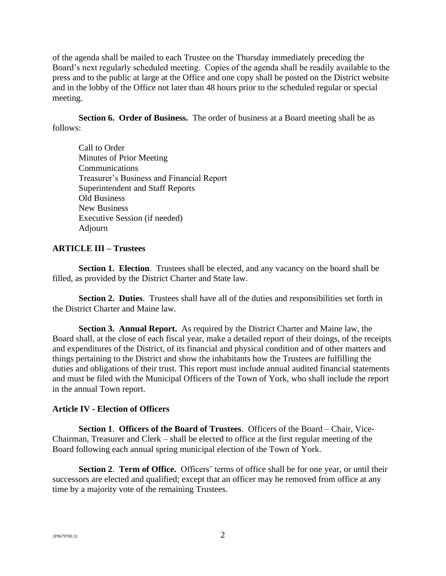of the agenda shall be mailed to each Trustee on the Thursday immediately preceding the Board's next regularly scheduled meeting. Copies of the agenda shall be readily available to the press and to the public at large at the Office and one copy shall be posted on the District website and in the lobby of the Office not later than 48 hours prior to the scheduled regular or special meeting.

**Section 6. Order of Business.** The order of business at a Board meeting shall be as follows:

Call to Order Minutes of Prior Meeting Communications Treasurer's Business and Financial Report Superintendent and Staff Reports Old Business New Business Executive Session (if needed) Adjourn

## **ARTICLE III – Trustees**

**Section 1. Election.** Trustees shall be elected, and any vacancy on the board shall be filled, as provided by the District Charter and State law.

**Section 2. Duties**. Trustees shall have all of the duties and responsibilities set forth in the District Charter and Maine law.

**Section 3. Annual Report.** As required by the District Charter and Maine law, the Board shall, at the close of each fiscal year, make a detailed report of their doings, of the receipts and expenditures of the District, of its financial and physical condition and of other matters and things pertaining to the District and show the inhabitants how the Trustees are fulfilling the duties and obligations of their trust. This report must include annual audited financial statements and must be filed with the Municipal Officers of the Town of York, who shall include the report in the annual Town report.

### **Article IV - Election of Officers**

**Section 1**. **Officers of the Board of Trustees**. Officers of the Board – Chair, Vice-Chairman, Treasurer and Clerk – shall be elected to office at the first regular meeting of the Board following each annual spring municipal election of the Town of York.

**Section 2. Term of Office.** Officers' terms of office shall be for one year, or until their successors are elected and qualified; except that an officer may be removed from office at any time by a majority vote of the remaining Trustees.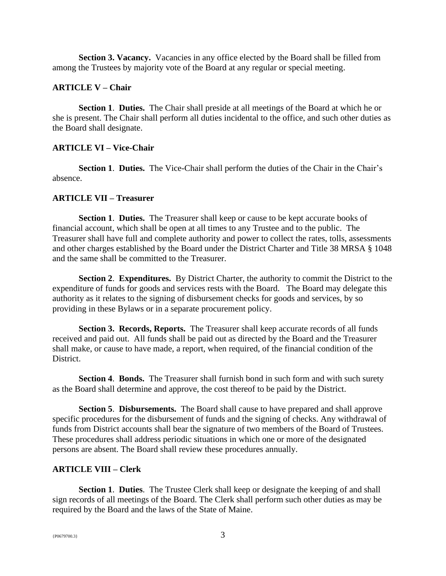**Section 3. Vacancy.** Vacancies in any office elected by the Board shall be filled from among the Trustees by majority vote of the Board at any regular or special meeting.

#### **ARTICLE V – Chair**

**Section 1**. **Duties.** The Chair shall preside at all meetings of the Board at which he or she is present. The Chair shall perform all duties incidental to the office, and such other duties as the Board shall designate.

## **ARTICLE VI – Vice-Chair**

**Section 1**. **Duties.** The Vice-Chair shall perform the duties of the Chair in the Chair's absence.

### **ARTICLE VII – Treasurer**

**Section 1**. **Duties.** The Treasurer shall keep or cause to be kept accurate books of financial account, which shall be open at all times to any Trustee and to the public. The Treasurer shall have full and complete authority and power to collect the rates, tolls, assessments and other charges established by the Board under the District Charter and Title 38 MRSA § 1048 and the same shall be committed to the Treasurer.

**Section 2**. **Expenditures.** By District Charter, the authority to commit the District to the expenditure of funds for goods and services rests with the Board. The Board may delegate this authority as it relates to the signing of disbursement checks for goods and services, by so providing in these Bylaws or in a separate procurement policy.

**Section 3. Records, Reports.** The Treasurer shall keep accurate records of all funds received and paid out. All funds shall be paid out as directed by the Board and the Treasurer shall make, or cause to have made, a report, when required, of the financial condition of the District.

**Section 4**. **Bonds.** The Treasurer shall furnish bond in such form and with such surety as the Board shall determine and approve, the cost thereof to be paid by the District.

**Section 5**. **Disbursements.** The Board shall cause to have prepared and shall approve specific procedures for the disbursement of funds and the signing of checks. Any withdrawal of funds from District accounts shall bear the signature of two members of the Board of Trustees. These procedures shall address periodic situations in which one or more of the designated persons are absent. The Board shall review these procedures annually.

## **ARTICLE VIII – Clerk**

**Section 1**. **Duties**. The Trustee Clerk shall keep or designate the keeping of and shall sign records of all meetings of the Board. The Clerk shall perform such other duties as may be required by the Board and the laws of the State of Maine.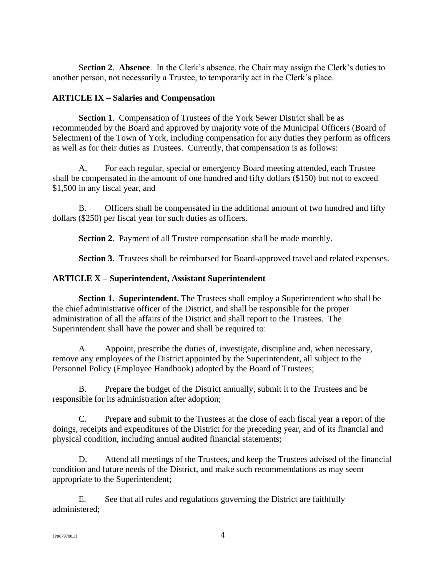S**ection 2**. **Absence**. In the Clerk's absence, the Chair may assign the Clerk's duties to another person, not necessarily a Trustee, to temporarily act in the Clerk's place.

# **ARTICLE IX – Salaries and Compensation**

**Section 1**. Compensation of Trustees of the York Sewer District shall be as recommended by the Board and approved by majority vote of the Municipal Officers (Board of Selectmen) of the Town of York, including compensation for any duties they perform as officers as well as for their duties as Trustees. Currently, that compensation is as follows:

A. For each regular, special or emergency Board meeting attended, each Trustee shall be compensated in the amount of one hundred and fifty dollars (\$150) but not to exceed \$1,500 in any fiscal year, and

B. Officers shall be compensated in the additional amount of two hundred and fifty dollars (\$250) per fiscal year for such duties as officers.

**Section 2**. Payment of all Trustee compensation shall be made monthly.

**Section 3**. Trustees shall be reimbursed for Board-approved travel and related expenses.

# **ARTICLE X – Superintendent, Assistant Superintendent**

**Section 1. Superintendent.** The Trustees shall employ a Superintendent who shall be the chief administrative officer of the District, and shall be responsible for the proper administration of all the affairs of the District and shall report to the Trustees. The Superintendent shall have the power and shall be required to:

A. Appoint, prescribe the duties of, investigate, discipline and, when necessary, remove any employees of the District appointed by the Superintendent, all subject to the Personnel Policy (Employee Handbook) adopted by the Board of Trustees;

B. Prepare the budget of the District annually, submit it to the Trustees and be responsible for its administration after adoption;

C. Prepare and submit to the Trustees at the close of each fiscal year a report of the doings, receipts and expenditures of the District for the preceding year, and of its financial and physical condition, including annual audited financial statements;

D. Attend all meetings of the Trustees, and keep the Trustees advised of the financial condition and future needs of the District, and make such recommendations as may seem appropriate to the Superintendent;

E. See that all rules and regulations governing the District are faithfully administered;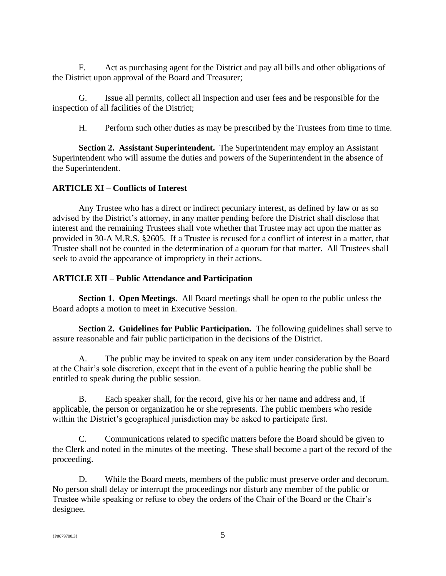F. Act as purchasing agent for the District and pay all bills and other obligations of the District upon approval of the Board and Treasurer;

G. Issue all permits, collect all inspection and user fees and be responsible for the inspection of all facilities of the District;

H. Perform such other duties as may be prescribed by the Trustees from time to time.

**Section 2. Assistant Superintendent.** The Superintendent may employ an Assistant Superintendent who will assume the duties and powers of the Superintendent in the absence of the Superintendent.

# **ARTICLE XI – Conflicts of Interest**

Any Trustee who has a direct or indirect pecuniary interest, as defined by law or as so advised by the District's attorney, in any matter pending before the District shall disclose that interest and the remaining Trustees shall vote whether that Trustee may act upon the matter as provided in 30-A M.R.S. §2605. If a Trustee is recused for a conflict of interest in a matter, that Trustee shall not be counted in the determination of a quorum for that matter. All Trustees shall seek to avoid the appearance of impropriety in their actions.

# **ARTICLE XII – Public Attendance and Participation**

**Section 1. Open Meetings.** All Board meetings shall be open to the public unless the Board adopts a motion to meet in Executive Session.

**Section 2. Guidelines for Public Participation.** The following guidelines shall serve to assure reasonable and fair public participation in the decisions of the District.

A. The public may be invited to speak on any item under consideration by the Board at the Chair's sole discretion, except that in the event of a public hearing the public shall be entitled to speak during the public session.

B. Each speaker shall, for the record, give his or her name and address and, if applicable, the person or organization he or she represents. The public members who reside within the District's geographical jurisdiction may be asked to participate first.

C. Communications related to specific matters before the Board should be given to the Clerk and noted in the minutes of the meeting. These shall become a part of the record of the proceeding.

D. While the Board meets, members of the public must preserve order and decorum. No person shall delay or interrupt the proceedings nor disturb any member of the public or Trustee while speaking or refuse to obey the orders of the Chair of the Board or the Chair's designee.